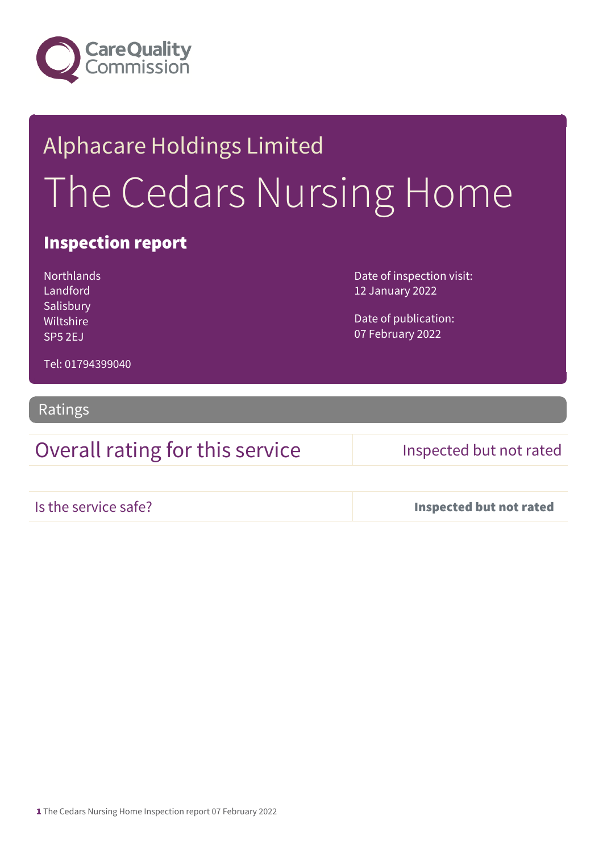

# Alphacare Holdings Limited The Cedars Nursing Home

### Inspection report

**Northlands** Landford Salisbury Wiltshire SP5 2EJ

Date of inspection visit: 12 January 2022

Date of publication: 07 February 2022

Tel: 01794399040

Ratings

### Overall rating for this service Inspected but not rated

Is the service safe? Inspected but not rated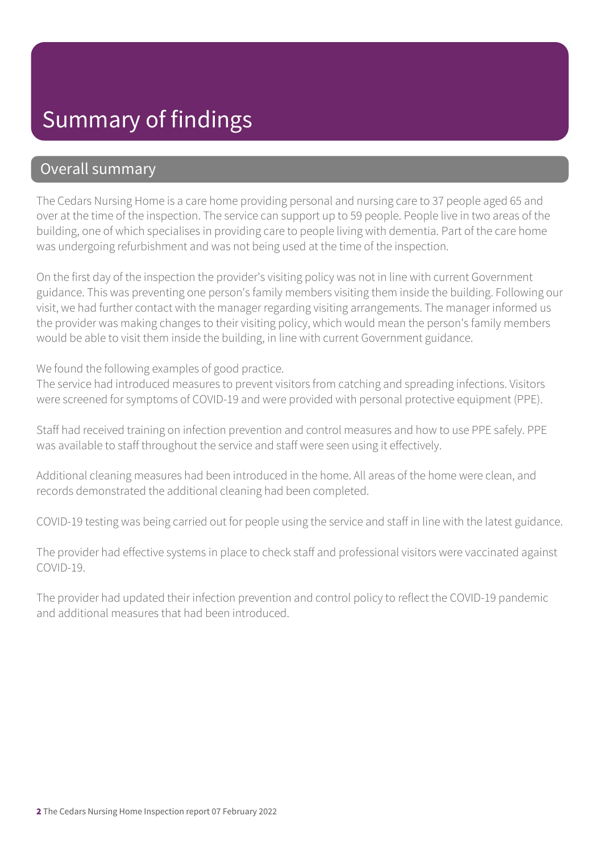## Summary of findings

### Overall summary

The Cedars Nursing Home is a care home providing personal and nursing care to 37 people aged 65 and over at the time of the inspection. The service can support up to 59 people. People live in two areas of the building, one of which specialises in providing care to people living with dementia. Part of the care home was undergoing refurbishment and was not being used at the time of the inspection.

On the first day of the inspection the provider's visiting policy was not in line with current Government guidance. This was preventing one person's family members visiting them inside the building. Following our visit, we had further contact with the manager regarding visiting arrangements. The manager informed us the provider was making changes to their visiting policy, which would mean the person's family members would be able to visit them inside the building, in line with current Government guidance.

We found the following examples of good practice.

The service had introduced measures to prevent visitors from catching and spreading infections. Visitors were screened for symptoms of COVID-19 and were provided with personal protective equipment (PPE).

Staff had received training on infection prevention and control measures and how to use PPE safely. PPE was available to staff throughout the service and staff were seen using it effectively.

Additional cleaning measures had been introduced in the home. All areas of the home were clean, and records demonstrated the additional cleaning had been completed.

COVID-19 testing was being carried out for people using the service and staff in line with the latest guidance.

The provider had effective systems in place to check staff and professional visitors were vaccinated against COVID-19.

The provider had updated their infection prevention and control policy to reflect the COVID-19 pandemic and additional measures that had been introduced.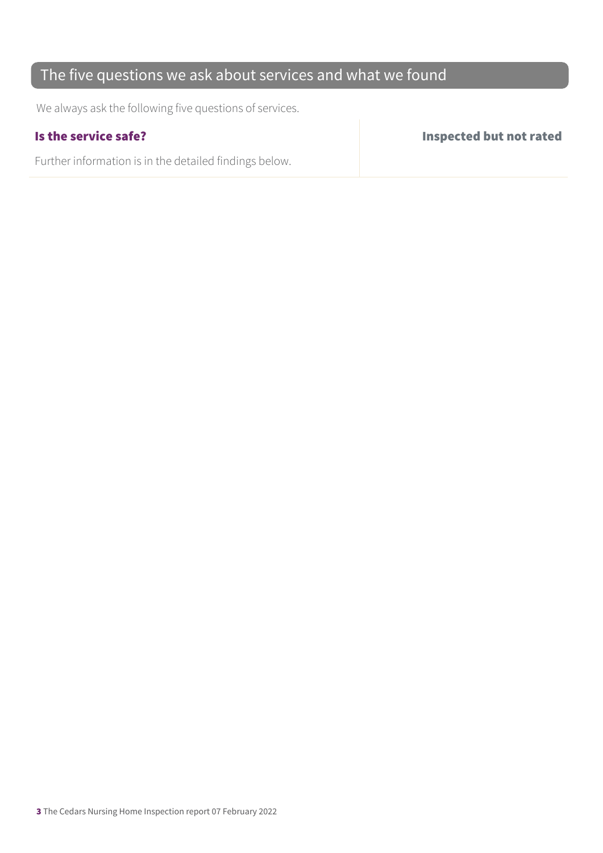### The five questions we ask about services and what we found

We always ask the following five questions of services.

Further information is in the detailed findings below.

Is the service safe? Inspected but not rated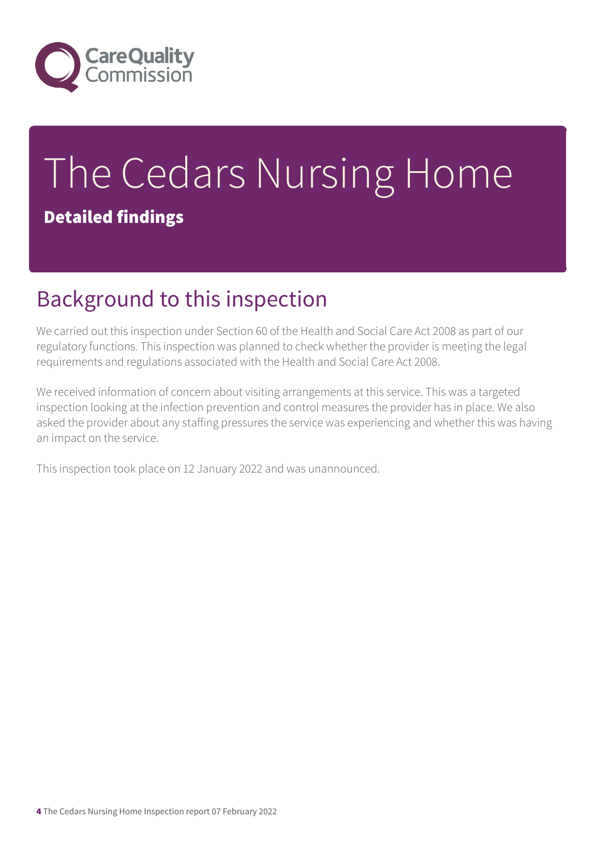

# The Cedars Nursing Home Detailed findings

## Background to this inspection

We carried out this inspection under Section 60 of the Health and Social Care Act 2008 as part of our regulatory functions. This inspection was planned to check whether the provider is meeting the legal requirements and regulations associated with the Health and Social Care Act 2008.

We received information of concern about visiting arrangements at this service. This was a targeted inspection looking at the infection prevention and control measures the provider has in place. We also asked the provider about any staffing pressures the service was experiencing and whether this was having an impact on the service.

This inspection took place on 12 January 2022 and was unannounced.